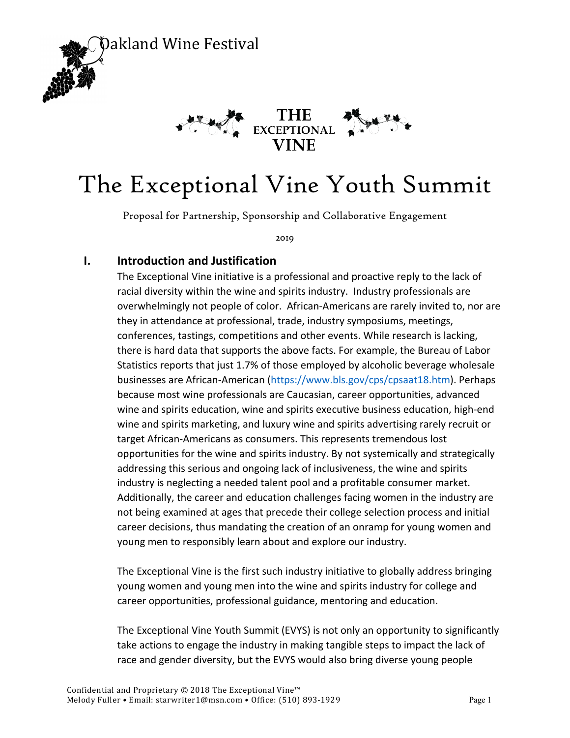



# The Exceptional Vine Youth Summit

Proposal for Partnership, Sponsorship and Collaborative Engagement

2019

#### **I. Introduction and Justification**

The Exceptional Vine initiative is a professional and proactive reply to the lack of racial diversity within the wine and spirits industry. Industry professionals are overwhelmingly not people of color. African-Americans are rarely invited to, nor are they in attendance at professional, trade, industry symposiums, meetings, conferences, tastings, competitions and other events. While research is lacking, there is hard data that supports the above facts. For example, the Bureau of Labor Statistics reports that just 1.7% of those employed by alcoholic beverage wholesale businesses are African-American (https://www.bls.gov/cps/cpsaat18.htm). Perhaps because most wine professionals are Caucasian, career opportunities, advanced wine and spirits education, wine and spirits executive business education, high-end wine and spirits marketing, and luxury wine and spirits advertising rarely recruit or target African-Americans as consumers. This represents tremendous lost opportunities for the wine and spirits industry. By not systemically and strategically addressing this serious and ongoing lack of inclusiveness, the wine and spirits industry is neglecting a needed talent pool and a profitable consumer market. Additionally, the career and education challenges facing women in the industry are not being examined at ages that precede their college selection process and initial career decisions, thus mandating the creation of an onramp for young women and young men to responsibly learn about and explore our industry.

The Exceptional Vine is the first such industry initiative to globally address bringing young women and young men into the wine and spirits industry for college and career opportunities, professional guidance, mentoring and education.

The Exceptional Vine Youth Summit (EVYS) is not only an opportunity to significantly take actions to engage the industry in making tangible steps to impact the lack of race and gender diversity, but the EVYS would also bring diverse young people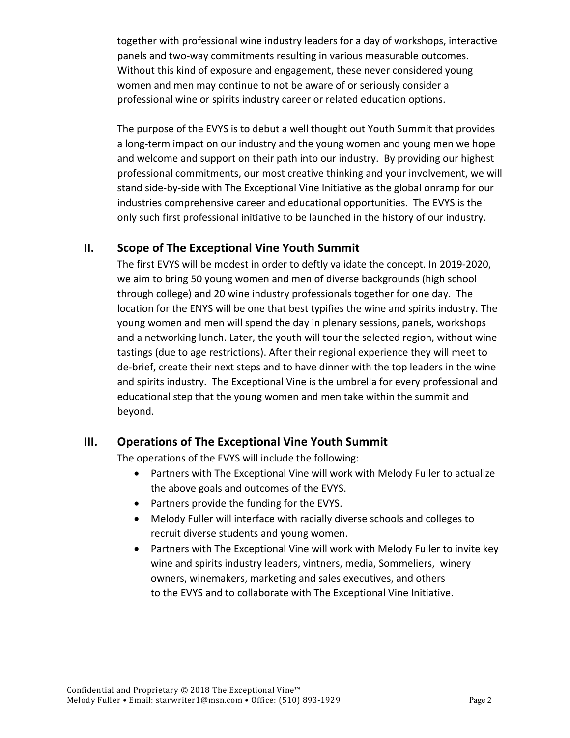together with professional wine industry leaders for a day of workshops, interactive panels and two-way commitments resulting in various measurable outcomes. Without this kind of exposure and engagement, these never considered young women and men may continue to not be aware of or seriously consider a professional wine or spirits industry career or related education options.

The purpose of the EVYS is to debut a well thought out Youth Summit that provides a long-term impact on our industry and the young women and young men we hope and welcome and support on their path into our industry. By providing our highest professional commitments, our most creative thinking and your involvement, we will stand side-by-side with The Exceptional Vine Initiative as the global onramp for our industries comprehensive career and educational opportunities. The EVYS is the only such first professional initiative to be launched in the history of our industry.

### **II. Scope of The Exceptional Vine Youth Summit**

The first EVYS will be modest in order to deftly validate the concept. In 2019-2020, we aim to bring 50 young women and men of diverse backgrounds (high school through college) and 20 wine industry professionals together for one day. The location for the ENYS will be one that best typifies the wine and spirits industry. The young women and men will spend the day in plenary sessions, panels, workshops and a networking lunch. Later, the youth will tour the selected region, without wine tastings (due to age restrictions). After their regional experience they will meet to de-brief, create their next steps and to have dinner with the top leaders in the wine and spirits industry. The Exceptional Vine is the umbrella for every professional and educational step that the young women and men take within the summit and beyond.

## **III. Operations of The Exceptional Vine Youth Summit**

The operations of the EVYS will include the following:

- Partners with The Exceptional Vine will work with Melody Fuller to actualize the above goals and outcomes of the EVYS.
- Partners provide the funding for the EVYS.
- Melody Fuller will interface with racially diverse schools and colleges to recruit diverse students and young women.
- Partners with The Exceptional Vine will work with Melody Fuller to invite key wine and spirits industry leaders, vintners, media, Sommeliers, winery owners, winemakers, marketing and sales executives, and others to the EVYS and to collaborate with The Exceptional Vine Initiative.